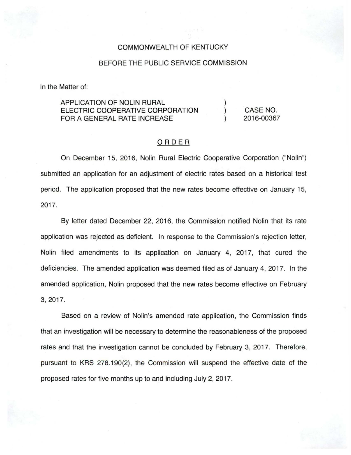### COMMONWEALTH OF KENTUCKY

#### BEFORE THE PUBLIC SERVICE COMMISSION

In the Matter of:

APPLICATION OF NOLIN RURAL ELECTRIC COOPERATIVE CORPORATION FOR A GENERAL RATE INCREASE

CASE NO. 2016-00367

) ) )

## ORDER

On December 15, 2016, Nolin Rural Electric Cooperative Corporation ("Nolin") submitted an application for an adjustment of electric rates based on a historical test period. The application proposed that the new rates become effective on January 15, 2017.

By letter dated December 22, 2016, the Commission notified Nolin that its rate application was rejected as deficient. In response to the Commission's rejection letter, Nolin filed amendments to its application on January 4, 2017, that cured the deficiencies. The amended application was deemed filed as of January 4, 2017. In the amended application, Nolin proposed that the new rates become effective on February 3, 2017.

Based on a review of Nolin's amended rate application, the Commission finds that an investigation will be necessary to determine the reasonableness of the proposed rates and that the investigation cannot be concluded by February 3, 2017. Therefore, pursuant to KRS 278.190(2), the Commission will suspend the effective date of the proposed rates for five months up to and including July 2, 2017.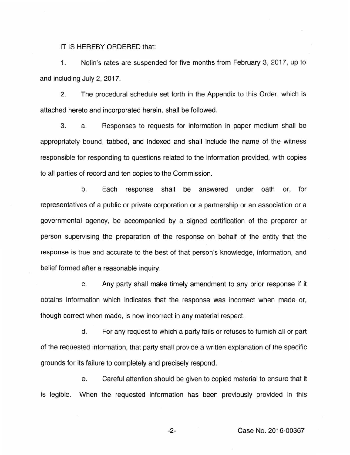IT IS HEREBY ORDERED that:

1. Nolin's rates are suspended for five months from February 3, 2017, up to and including July 2, 2017.

2. The procedural schedule set forth in the Appendix to this Order, which is attached hereto and incorporated herein, shall be followed.

3. a. Responses to requests for information in paper medium shall be appropriately bound, tabbed, and indexed and shall include the name of the witness responsible for responding to questions related to the information provided, with copies to all parties of record and ten copies to the Commission.

b. Each response shall be answered under oath or, for representatives of a public or private corporation or a partnership or an association or a governmental agency, be accompanied by a signed certification of the preparer or person supervising the preparation of the response on behalf of the entity that the response is true and accurate to the best of that person's knowledge, information, and belief formed after a reasonable inquiry.

c. Any party shall make timely amendment to any prior response if it obtains information which indicates that the response was incorrect when made or, though correct when made, is now incorrect in any material respect.

d. For any request to which a party fails or refuses to furnish all or part of the requested information, that party shall provide a written explanation of the specific grounds for its failure to completely and precisely respond.

e. Careful attention should be given to copied material to ensure that it is legible. When the requested information has been previously provided in this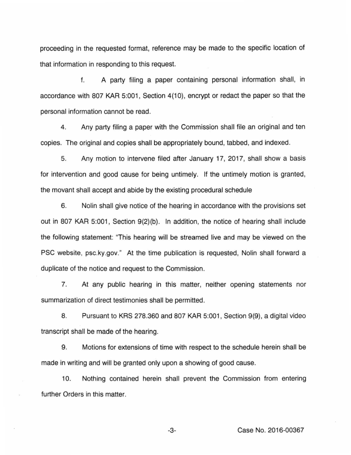proceeding in the requested format, reference may be made to the specific location of that information in responding to this request.

f. A party filing a paper containing personal information shall, in accordance with 807 KAR 5:001, Section 4(10), encrypt or redact the paper so that the personal information cannot be read.

4. Any party filing a paper with the Commission shall file an original and ten copies. The original and copies shall be appropriately bound, tabbed, and indexed.

5. Any motion to intervene filed after January 17, 2017, shall show a basis for intervention and good cause for being untimely. If the untimely motion is granted, the movant shall accept and abide by the existing procedural schedule

6. Nolin shall give notice of the hearing in accordance with the provisions set out in 807 KAR 5:001, Section 9(2)(b). In addition, the notice of hearing shall include the following statement: "This hearing will be streamed live and may be viewed on the PSC website, psc.ky.gov." At the time publication is requested, Nolin shall forward a duplicate of the notice and request to the Commission.

7. At any public hearing in this matter, neither opening statements nor summarization of direct testimonies shall be permitted.

8. Pursuant to KRS 278.360 and 807 KAR 5:001 , Section 9(9), a digital video transcript shall be made of the hearing.

9. Motions for extensions of time with respect to the schedule herein shall be made in writing and will be granted only upon a showing of good cause.

10. Nothing contained herein shall prevent the Commission from entering further Orders in this matter.

-3- Case No. 2016-00367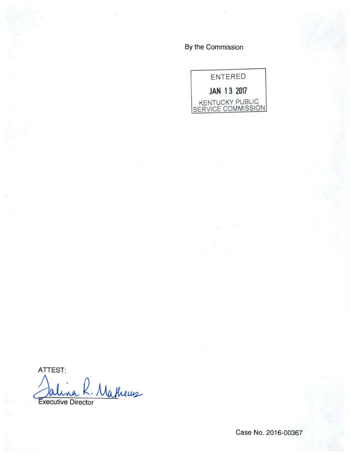By the Commission



ATTEST: Jalina R. Matheus

Case No. 2016-00367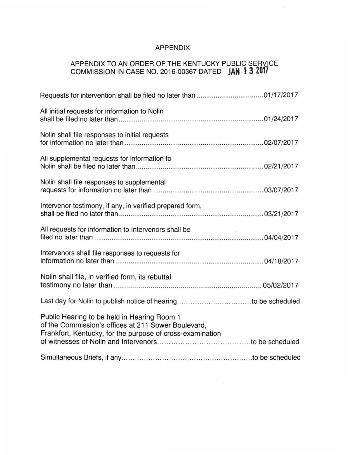# APPENDIX

## APPENDIX TO AN ORDER OF THE KENTUCKY PUBLIC SERVICE COMMISSION IN CASE NO. 2016-00367 DATED **JAN \3 2017**

| All initial requests for information to Nolin                                                                                                                   |
|-----------------------------------------------------------------------------------------------------------------------------------------------------------------|
| Nolin shall file responses to initial requests                                                                                                                  |
| All supplemental requests for information to                                                                                                                    |
| Nolin shall file responses to supplemental                                                                                                                      |
| Intervenor testimony, if any, in verified prepared form,                                                                                                        |
| All requests for information to Intervenors shall be                                                                                                            |
| Intervenors shall file responses to requests for                                                                                                                |
| Nolin shall file, in verified form, its rebuttal                                                                                                                |
|                                                                                                                                                                 |
| Public Hearing to be held in Hearing Room 1<br>of the Commission's offices at 211 Sower Boulevard,<br>Frankfort, Kentucky, for the purpose of cross-examination |
|                                                                                                                                                                 |